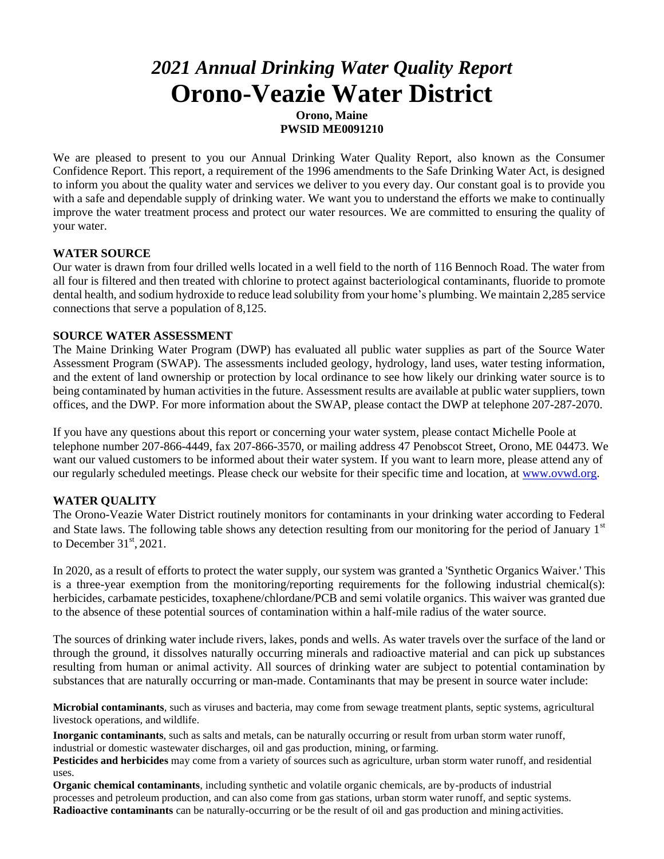# *2021 Annual Drinking Water Quality Report* **Orono-Veazie Water District**

**Orono, Maine PWSID ME0091210**

We are pleased to present to you our Annual Drinking Water Quality Report, also known as the Consumer Confidence Report. This report, a requirement of the 1996 amendments to the Safe Drinking Water Act, is designed to inform you about the quality water and services we deliver to you every day. Our constant goal is to provide you with a safe and dependable supply of drinking water. We want you to understand the efforts we make to continually improve the water treatment process and protect our water resources. We are committed to ensuring the quality of your water.

# **WATER SOURCE**

Our water is drawn from four drilled wells located in a well field to the north of 116 Bennoch Road. The water from all four is filtered and then treated with chlorine to protect against bacteriological contaminants, fluoride to promote dental health, and sodium hydroxide to reduce lead solubility from your home's plumbing. We maintain 2,285 service connections that serve a population of 8,125.

## **SOURCE WATER ASSESSMENT**

The Maine Drinking Water Program (DWP) has evaluated all public water supplies as part of the Source Water Assessment Program (SWAP). The assessments included geology, hydrology, land uses, water testing information, and the extent of land ownership or protection by local ordinance to see how likely our drinking water source is to being contaminated by human activities in the future. Assessment results are available at public water suppliers, town offices, and the DWP. For more information about the SWAP, please contact the DWP at telephone 207-287-2070.

If you have any questions about this report or concerning your water system, please contact Michelle Poole at telephone number 207-866-4449, fax 207-866-3570, or mailing address 47 Penobscot Street, Orono, ME 04473. We want our valued customers to be informed about their water system. If you want to learn more, please attend any of our regularly scheduled meetings. Please check our website for their specific time and location, at [www.ovwd.org.](http://www.ovwd.org/)

# **WATER QUALITY**

The Orono-Veazie Water District routinely monitors for contaminants in your drinking water according to Federal and State laws. The following table shows any detection resulting from our monitoring for the period of January  $1<sup>st</sup>$ to December  $31<sup>st</sup>$ , 2021.

In 2020, as a result of efforts to protect the water supply, our system was granted a 'Synthetic Organics Waiver.' This is a three-year exemption from the monitoring/reporting requirements for the following industrial chemical(s): herbicides, carbamate pesticides, toxaphene/chlordane/PCB and semi volatile organics. This waiver was granted due to the absence of these potential sources of contamination within a half-mile radius of the water source.

The sources of drinking water include rivers, lakes, ponds and wells. As water travels over the surface of the land or through the ground, it dissolves naturally occurring minerals and radioactive material and can pick up substances resulting from human or animal activity. All sources of drinking water are subject to potential contamination by substances that are naturally occurring or man-made. Contaminants that may be present in source water include:

**Microbial contaminants**, such as viruses and bacteria, may come from sewage treatment plants, septic systems, agricultural livestock operations, and wildlife.

**Inorganic contaminants**, such as salts and metals, can be naturally occurring or result from urban storm water runoff, industrial or domestic wastewater discharges, oil and gas production, mining, orfarming.

**Pesticides and herbicides** may come from a variety of sources such as agriculture, urban storm water runoff, and residential uses.

**Organic chemical contaminants**, including synthetic and volatile organic chemicals, are by-products of industrial processes and petroleum production, and can also come from gas stations, urban storm water runoff, and septic systems. **Radioactive contaminants** can be naturally-occurring or be the result of oil and gas production and mining activities.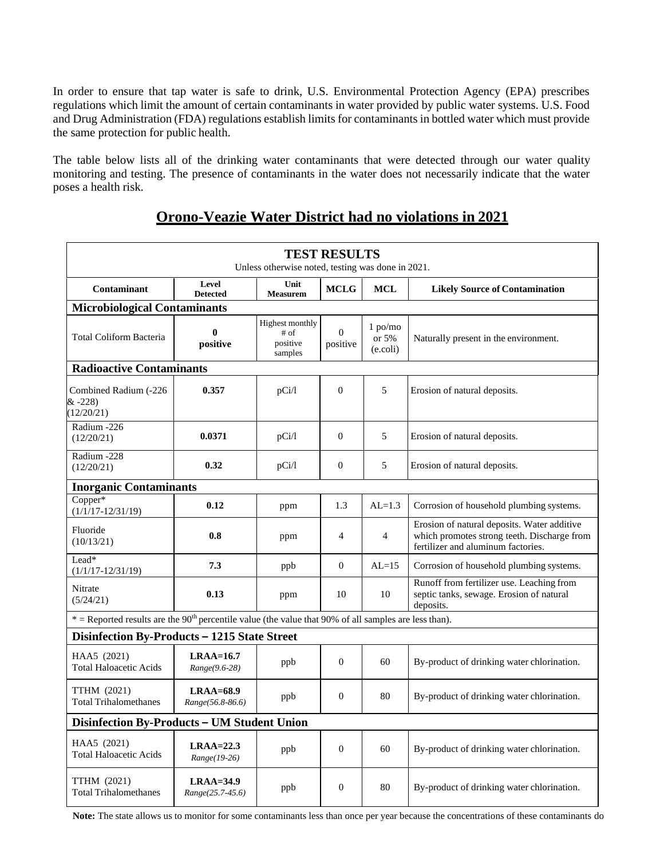In order to ensure that tap water is safe to drink, U.S. Environmental Protection Agency (EPA) prescribes regulations which limit the amount of certain contaminants in water provided by public water systems. U.S. Food and Drug Administration (FDA) regulations establish limits for contaminants in bottled water which must provide the same protection for public health.

The table below lists all of the drinking water contaminants that were detected through our water quality monitoring and testing. The presence of contaminants in the water does not necessarily indicate that the water poses a health risk.

# **Orono-Veazie Water District had no violations in 2021**

| <b>TEST RESULTS</b><br>Unless otherwise noted, testing was done in 2021.                                            |                                 |                                                       |                      |                                |                                                                                                                                  |
|---------------------------------------------------------------------------------------------------------------------|---------------------------------|-------------------------------------------------------|----------------------|--------------------------------|----------------------------------------------------------------------------------------------------------------------------------|
| Contaminant                                                                                                         | Level<br><b>Detected</b>        | Unit<br><b>Measurem</b>                               | <b>MCLG</b>          | <b>MCL</b>                     | <b>Likely Source of Contamination</b>                                                                                            |
| <b>Microbiological Contaminants</b>                                                                                 |                                 |                                                       |                      |                                |                                                                                                                                  |
| <b>Total Coliform Bacteria</b>                                                                                      | 0<br>positive                   | <b>Highest monthly</b><br># of<br>positive<br>samples | $\Omega$<br>positive | $1$ po/mo<br>or 5%<br>(e.coli) | Naturally present in the environment.                                                                                            |
| <b>Radioactive Contaminants</b>                                                                                     |                                 |                                                       |                      |                                |                                                                                                                                  |
| Combined Radium (-226<br>$& -228$<br>(12/20/21)                                                                     | 0.357                           | pCi/1                                                 | $\theta$             | 5                              | Erosion of natural deposits.                                                                                                     |
| Radium -226<br>(12/20/21)                                                                                           | 0.0371                          | pCi/1                                                 | $\mathbf{0}$         | 5                              | Erosion of natural deposits.                                                                                                     |
| Radium -228<br>(12/20/21)                                                                                           | 0.32                            | pCi/1                                                 | $\mathbf{0}$         | 5                              | Erosion of natural deposits.                                                                                                     |
| <b>Inorganic Contaminants</b>                                                                                       |                                 |                                                       |                      |                                |                                                                                                                                  |
| $Copper*$<br>$(1/1/17 - 12/31/19)$                                                                                  | 0.12                            | ppm                                                   | 1.3                  | $AL=1.3$                       | Corrosion of household plumbing systems.                                                                                         |
| Fluoride<br>(10/13/21)                                                                                              | 0.8                             | ppm                                                   | $\overline{4}$       | 4                              | Erosion of natural deposits. Water additive<br>which promotes strong teeth. Discharge from<br>fertilizer and aluminum factories. |
| Lead*<br>$(1/1/17 - 12/31/19)$                                                                                      | 7.3                             | ppb                                                   | $\theta$             | $AL=15$                        | Corrosion of household plumbing systems.                                                                                         |
| Nitrate<br>(5/24/21)                                                                                                | 0.13                            | ppm                                                   | 10                   | 10                             | Runoff from fertilizer use. Leaching from<br>septic tanks, sewage. Erosion of natural<br>deposits.                               |
| $*$ = Reported results are the 90 <sup>th</sup> percentile value (the value that 90% of all samples are less than). |                                 |                                                       |                      |                                |                                                                                                                                  |
| Disinfection By-Products - 1215 State Street                                                                        |                                 |                                                       |                      |                                |                                                                                                                                  |
| HAA5 (2021)<br><b>Total Haloacetic Acids</b>                                                                        | $LRAA=16.7$<br>Range(9.6-28)    | ppb                                                   | $\mathbf{0}$         | 60                             | By-product of drinking water chlorination.                                                                                       |
| TTHM (2021)<br><b>Total Trihalomethanes</b>                                                                         | $LRAA=68.9$<br>Range(56.8-86.6) | ppb                                                   | $\theta$             | 80                             | By-product of drinking water chlorination.                                                                                       |
| Disinfection By-Products - UM Student Union                                                                         |                                 |                                                       |                      |                                |                                                                                                                                  |
| HAA5 (2021)<br><b>Total Haloacetic Acids</b>                                                                        | $LRAA=22.3$<br>Range(19-26)     | ppb                                                   | $\theta$             | 60                             | By-product of drinking water chlorination.                                                                                       |
| TTHM (2021)<br><b>Total Trihalomethanes</b>                                                                         | $LRAA=34.9$<br>Range(25.7-45.6) | ppb                                                   | $\mathbf{0}$         | 80                             | By-product of drinking water chlorination.                                                                                       |

Note: The state allows us to monitor for some contaminants less than once per year because the concentrations of these contaminants do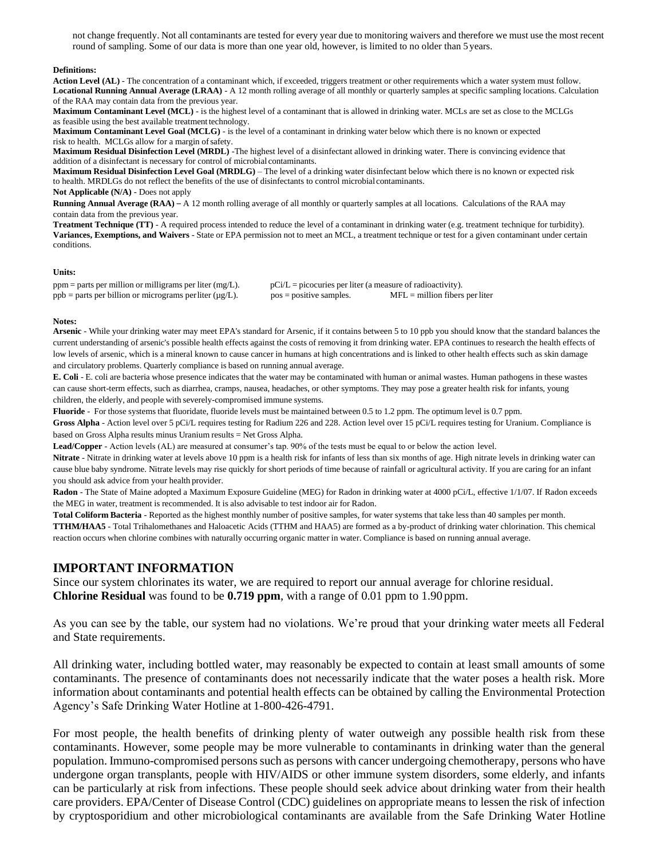not change frequently. Not all contaminants are tested for every year due to monitoring waivers and therefore we must use the most recent round of sampling. Some of our data is more than one year old, however, is limited to no older than 5 years.

#### **Definitions:**

**Action Level (AL)** - The concentration of a contaminant which, if exceeded, triggers treatment or other requirements which a water system must follow. **Locational Running Annual Average (LRAA)** - A 12 month rolling average of all monthly or quarterly samples at specific sampling locations. Calculation of the RAA may contain data from the previous year.

**Maximum Contaminant Level (MCL)** - is the highest level of a contaminant that is allowed in drinking water. MCLs are set as close to the MCLGs as feasible using the best available treatment technology.

**Maximum Contaminant Level Goal (MCLG)** - is the level of a contaminant in drinking water below which there is no known or expected risk to health. MCLGs allow for a margin ofsafety.

**Maximum Residual Disinfection Level (MRDL)** -The highest level of a disinfectant allowed in drinking water. There is convincing evidence that addition of a disinfectant is necessary for control of microbial contaminants.

**Maximum Residual Disinfection Level Goal (MRDLG)** – The level of a drinking water disinfectant below which there is no known or expected risk to health. MRDLGs do not reflect the benefits of the use of disinfectants to control microbial contaminants.

**Not Applicable (N/A)** - Does not apply

**Running Annual Average (RAA)** – A 12 month rolling average of all monthly or quarterly samples at all locations. Calculations of the RAA may contain data from the previous year.

**Treatment Technique (TT)** - A required process intended to reduce the level of a contaminant in drinking water (e.g. treatment technique for turbidity). **Variances, Exemptions, and Waivers** - State or EPA permission not to meet an MCL, a treatment technique or test for a given contaminant under certain conditions.

#### **Units:**

ppm = parts per million or milligrams per liter (mg/L).  $pCi/L =$  picocuries per liter (a measure of radioactivity).  $ppb =$  parts per billion or micrograms per liter ( $\mu g/L$ ). pos = positive samples. MFL = million fibers per liter

#### **Notes:**

**Arsenic** - While your drinking water may meet EPA's standard for Arsenic, if it contains between 5 to 10 ppb you should know that the standard balances the current understanding of arsenic's possible health effects against the costs of removing it from drinking water. EPA continues to research the health effects of low levels of arsenic, which is a mineral known to cause cancer in humans at high concentrations and is linked to other health effects such as skin damage and circulatory problems. Quarterly compliance is based on running annual average.

**E. Coli** - E. coli are bacteria whose presence indicates that the water may be contaminated with human or animal wastes. Human pathogens in these wastes can cause short-term effects, such as diarrhea, cramps, nausea, headaches, or other symptoms. They may pose a greater health risk for infants, young children, the elderly, and people with severely-compromised immune systems.

**Fluoride** - For those systems that fluoridate, fluoride levels must be maintained between 0.5 to 1.2 ppm. The optimum level is 0.7 ppm.

**Gross Alpha** - Action level over 5 pCi/L requires testing for Radium 226 and 228. Action level over 15 pCi/L requires testing for Uranium. Compliance is based on Gross Alpha results minus Uranium results = Net Gross Alpha.

**Lead/Copper** - Action levels (AL) are measured at consumer's tap. 90% of the tests must be equal to or below the action level.

**Nitrate** - Nitrate in drinking water at levels above 10 ppm is a health risk for infants of less than six months of age. High nitrate levels in drinking water can cause blue baby syndrome. Nitrate levels may rise quickly for short periods of time because of rainfall or agricultural activity. If you are caring for an infant you should ask advice from your health provider.

**Radon** - The State of Maine adopted a Maximum Exposure Guideline (MEG) for Radon in drinking water at 4000 pCi/L, effective 1/1/07. If Radon exceeds the MEG in water, treatment is recommended. It is also advisable to test indoor air for Radon.

**Total Coliform Bacteria** - Reported as the highest monthly number of positive samples, for water systems that take less than 40 samples per month.

**TTHM/HAA5** - Total Trihalomethanes and Haloacetic Acids (TTHM and HAA5) are formed as a by-product of drinking water chlorination. This chemical reaction occurs when chlorine combines with naturally occurring organic matter in water. Compliance is based on running annual average.

## **IMPORTANT INFORMATION**

Since our system chlorinates its water, we are required to report our annual average for chlorine residual. **Chlorine Residual** was found to be **0.719 ppm**, with a range of 0.01 ppm to 1.90 ppm.

As you can see by the table, our system had no violations. We're proud that your drinking water meets all Federal and State requirements.

All drinking water, including bottled water, may reasonably be expected to contain at least small amounts of some contaminants. The presence of contaminants does not necessarily indicate that the water poses a health risk. More information about contaminants and potential health effects can be obtained by calling the Environmental Protection Agency's Safe Drinking Water Hotline at 1-800-426-4791.

For most people, the health benefits of drinking plenty of water outweigh any possible health risk from these contaminants. However, some people may be more vulnerable to contaminants in drinking water than the general population. Immuno-compromised persons such as persons with cancer undergoing chemotherapy, persons who have undergone organ transplants, people with HIV/AIDS or other immune system disorders, some elderly, and infants can be particularly at risk from infections. These people should seek advice about drinking water from their health care providers. EPA/Center of Disease Control (CDC) guidelines on appropriate means to lessen the risk of infection by cryptosporidium and other microbiological contaminants are available from the Safe Drinking Water Hotline